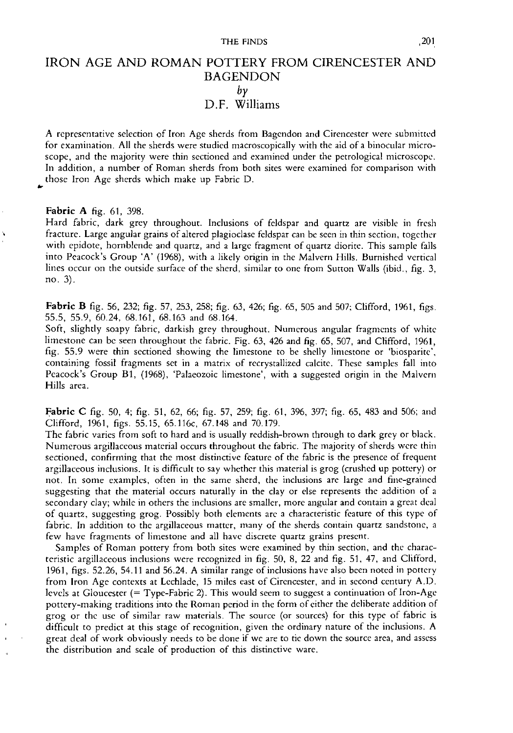# IRON AGE AND ROMAN POTTERY FROM CIRENCESTER AND BAGENDON *by* D.F. Williams

A representative selection of Iron Age sherds from Bagendon and Cirencester were submitted for examination. All the sherds were studied macroscopically with the aid of a binocular microscope, and the majority were thin sectioned and examined under the petrological microscope. In addition, a number of Roman sherds from both sites were examined for comparison with those Iron Age sherds which make up Fabric D.

**Fabric A** fig. 61, 398.

Hard fabric, dark grey throughout. Inclusions of feldspar and quartz are visible in fresh fracture. Large angular grains of altered plagioclase feldspar can be seen in thin section, together with epidote, hornblende and quartz, and a large fragment of quartz diorite. This sample falls into Peacock's Group 'A' (1968), with a likely origin in the Malvern Hills. Burnished vertical lines occur on the outside surface of the sherd, similar to one from Sutton Walls (ibid., fig. 3, no. 3).

**Fabric B** fig. 56, 232; fig. 57, 253, 258; fig. 63, 426; fig. 65, 505 and 507; Clifford, 1961, figs. 55.5, 55.9, 60.24, 68.161, 68.163 and 68.164.

Soft, slightly soapy fabric, darkish grey throughout. Numerous angular fragments of white limestone can be seen throughout the fabric. Fig. 63, 426 and fig. 65, 507, and Clifford, 1961, fig. 55.9 were thin sectioned showing the limestone to be shelly limestone or 'biosparite', containing fossil fragments set in a matrix of recrystallized calcite. These samples fall into Peacock's Group Bl, (1968), 'Palaeozoic limestone', with a suggested origin in the Malvern Hills area.

Fabric C fig. 50, 4; fig. 51, 62, 66; fig. 57, 259; fig. 61, 396, 397; fig. 65, 483 and 506; and Clifford, 1961, figs. 55.15, 65.116c, 67.148 and 70.179.

The fabric varies from soft to hard and is usually reddish-brown through to dark grey or black. Numerous argillaceous material occurs throughout the fabric. The majority of sherds were thin sectioned, confirming that the most distinctive feature of the fabric is the presence of frequent argillaceous inclusions. It is difficult to say whether this material is grog (crushed up pottery) or not. In some examples, often in the same shcrd, the inclusions are large and fine-grained suggesting that the material occurs naturally in the clay or else represents the addition of a secondary clay; while in others the inclusions are smaller, more angular and contain a great deal of quartz, suggesting grog. Possibly both elements are a characteristic feature of this type of fabric. In addition to the argillaceous matter, many of the sherds contain quartz sandstone, a few have fragments of limestone and all have discrete quartz grains present.

Samples of Roman pottery from both sites were examined by thin section, and the characteristic argillaceous inclusions were recognized in fig. 50, 8, 22 and fig. 51, 47, and Clifford, 1961, figs. 52.26, 54.11 and 56.24. A similar range of inclusions have also been noted in pottery from Iron Age contexts at Lcchladc, 15 miles east of Circncester, and in second century A.D. levels at Gloucester (= Type-Fabric 2). This would seem to suggest a continuation of Iron-Age pottery-making traditions into the Roman period in the form of either the deliberate addition of grog or the use of similar raw materials. The source (or sources) for this type of fabric is difficult to predict at this stage of recognition, given the ordinary nature of the inclusions. A great deal of work obviously needs to be done if we are to tie down the source area, and assess the distribution and scale of production of this distinctive ware.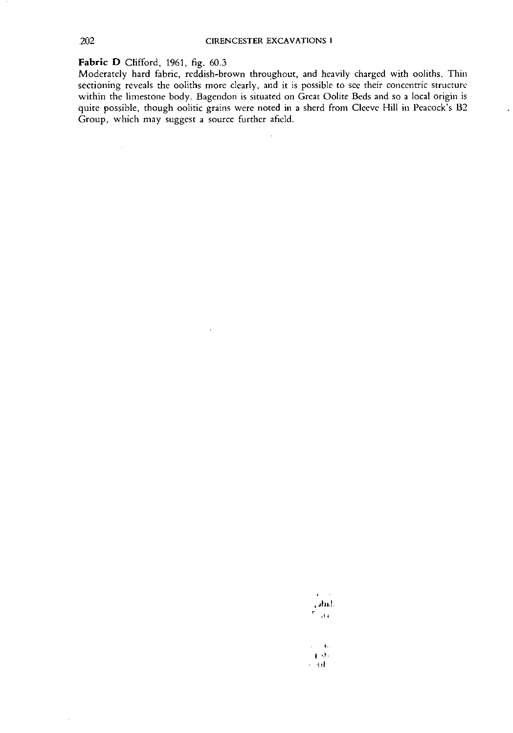### **Fabric 0** Clifford, 1961, fig. 60.3

 $\mathcal{A}^{\mathcal{A}}$ 

Moderately hard fabric, reddish-brown throughout, and heavily charged with ooliths. Thin sectioning reveals the ooliths more clearly, and it is possible to see their concentric structure within the limestone body. Bagcndon is situated on Great Oolite Beds and so a local origin is quite possible, though oolitic grains were noted in a sherd from Cleeve Hill in Peacock's B2 Group, which may suggest a source further afield.

 $\bar{\mathbf{r}}$ 

 $\overline{a}$ 

 $\mathbf{z} = \mathbf{z}$ **j.,hd,**  $\sigma_{\rm{max}}$ 

 $\epsilon=1.5$  $\mathbf{q}$  , where ※ 4秒

 $\bar{z}$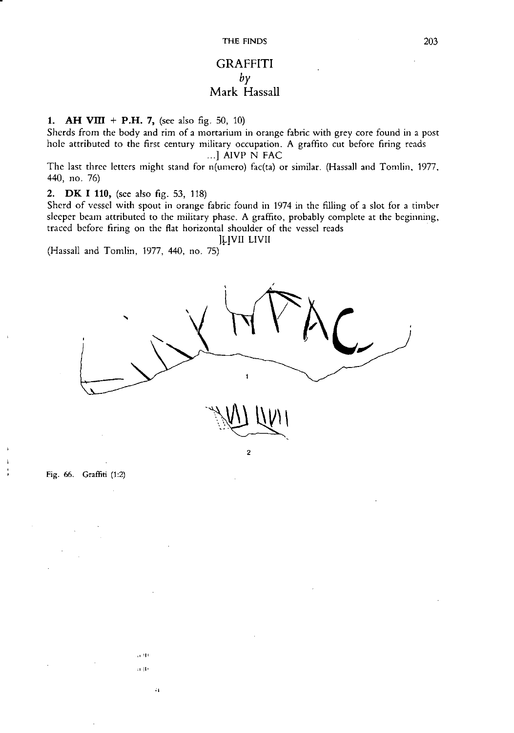### **GRAFFITI** *by* **Mark** Hassall

**1. AH VIII + P.H. 7,** (see also fig. 50, 10)

Sherds from the body and rim of a mortarium in orange fabric with grey core found in a post hole attributed to the first century military occupation. A graffito cut before firing reads ...] AIVP N FAC

The last three letters might stand for n(umero) fac(ta) or similar. (Hassall and Tomlin, 1977, 440, no. 76)

#### **2. DK I 110,** (see also fig. 53, 118)

Sherd of vessel with spout in orange fabric found in 1974 in the filling of a slot for a timber sleeper beam attributed to the military phase. A graffito, probably complete at the beginning, traced before firing on the flat horizontal shoulder of the vessel reads

]~!Vn uvn

(Hassall and Tomlin, 1977, 440, no. 75)

" III ;1 II'

..



Fig. 66. Graffiti (1:2)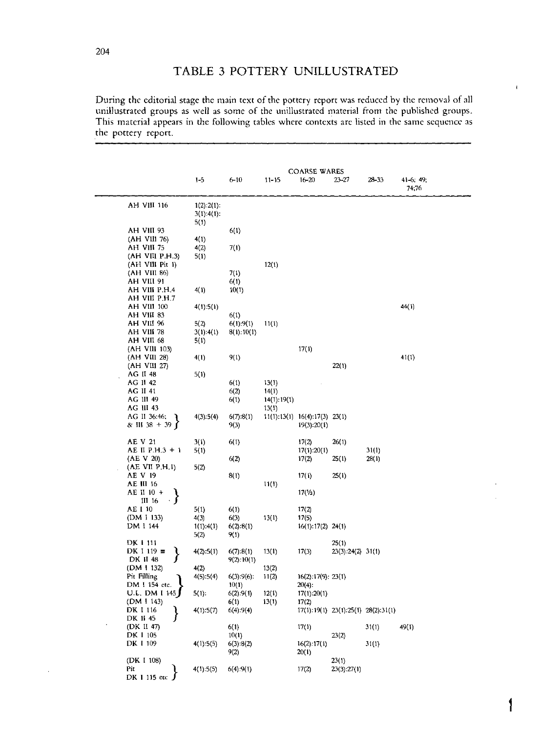## **TABLE 3 POTTERY UNILLUSTRATED**

During the editorial stage the main text of the pottery report was reduced by the removal of all unillustrated groups as well as some of the unillustrated material from the published groups. This material appears in the following tables where contexts are listed in the same sequence as the pottery report.

|                             |                                        |                   |                | <b>COARSE WARES</b>                 |                                           |       |                          |
|-----------------------------|----------------------------------------|-------------------|----------------|-------------------------------------|-------------------------------------------|-------|--------------------------|
|                             | $1 - 5$                                | $6 - 10$          | $11 - 15$      | $16 - 20$                           | 23-27                                     | 28-33 | $41-6$ ; $49$ ;<br>74;76 |
| AH VIII 116                 | $1(2):2(1)$ :<br>$3(1):4(1)$ :<br>5(1) |                   |                |                                     |                                           |       |                          |
| AH VIII 93                  |                                        | 6(1)              |                |                                     |                                           |       |                          |
| (AH VIII 76)                | 4(1)                                   |                   |                |                                     |                                           |       |                          |
| AH VIII 75                  | 4(2)                                   | 7(1)              |                |                                     |                                           |       |                          |
| (AH VIII P.H.3)             | 5(1)                                   |                   |                |                                     |                                           |       |                          |
| $(AH$ VIII Pit 1)           |                                        |                   | 12(1)          |                                     |                                           |       |                          |
| (AH VIII 86)<br>AH VIII 91  |                                        | 7(1)<br>6(1)      |                |                                     |                                           |       |                          |
| AH VIII P.H.4               | 4(1)                                   | 10(1)             |                |                                     |                                           |       |                          |
| AH VIII P.H.7               |                                        |                   |                |                                     |                                           |       |                          |
| AH VIII 100                 | 4(1):5(1)                              |                   |                |                                     |                                           |       | 44(1)                    |
| AH VIII 83                  |                                        | 6(1)              |                |                                     |                                           |       |                          |
| AH VIII 96<br>AH VIII 78    | 5(2)                                   | 6(1):9(1)         | 11(1)          |                                     |                                           |       |                          |
| AH VIII 68                  | 3(1):4(1)<br>5(1)                      | 8(1):10(1)        |                |                                     |                                           |       |                          |
| (AH VIII 103)               |                                        |                   |                | 17(1)                               |                                           |       |                          |
| (AH VIII 28)                | 4(1)                                   | 9(1)              |                |                                     |                                           |       | 41(1)                    |
| (AH VIII 27)                |                                        |                   |                |                                     | 22(1)                                     |       |                          |
| AG II 48                    | 5(1)                                   |                   |                |                                     |                                           |       |                          |
| AG II 42<br>AG II 41        |                                        | 6(1)<br>6(2)      | 13(1)<br>14(1) |                                     |                                           |       |                          |
| AG III 49                   |                                        | 6(1)              | 14(1): 19(1)   |                                     |                                           |       |                          |
| AG III 43                   |                                        |                   | 13(1)          |                                     |                                           |       |                          |
| AG II 36:46;                | 4(3):5(4)                              | 6(7):8(1)         |                | $11(1):13(1)$ $16(4):17(3)$ $23(1)$ |                                           |       |                          |
| & III 38 + 39 $\int$        |                                        | 9(3)              |                | 19(3):20(1)                         |                                           |       |                          |
| AE V 21                     | 3(1)                                   | 6(1)              |                | 17(2)                               | 26(1)                                     |       |                          |
| AE II P.H.3 + 1             | 5(1)                                   |                   |                | 17(1):20(1)                         |                                           | 31(1) |                          |
| (AE V 20)                   |                                        | 6(2)              |                | 17(2)                               | 25(1)                                     | 28(1) |                          |
| (AE VII P.H.1)              | 5(2)                                   |                   |                |                                     |                                           |       |                          |
| AE V 19<br><b>AE III 16</b> |                                        | 8(1)              | 11(1)          | 17(1)                               | 25(1)                                     |       |                          |
| AE II 10 +                  |                                        |                   |                | 17(1/2)                             |                                           |       |                          |
| III 16                      |                                        |                   |                |                                     |                                           |       |                          |
| AE I 10                     | 5(1)                                   | 6(1)              |                | 17(2)                               |                                           |       |                          |
| (DM I 133)                  | 4(3)                                   | 6(3)              | 13(1)          | 17(5)                               |                                           |       |                          |
| DM I 144                    | 1(1):4(1)<br>5(2)                      | 6(2):8(1)<br>9(1) |                | $16(1): 17(2)$ 24(1)                |                                           |       |                          |
| DK 1 111                    |                                        |                   |                |                                     | 25(1)                                     |       |                          |
| DK I 119 $\equiv$           | 4(2):5(1)                              | 6(7):8(1)         | 13(1)          | 17(3)                               | $23(3):24(2)$ 31(1)                       |       |                          |
| DK II 48                    |                                        | 9(2):10(1)        |                |                                     |                                           |       |                          |
| (DM 1 132)<br>Pit Filling   | 4(2)<br>4(5):5(4)                      | 6(3):9(6)         | 13(2)<br>11(2) | 16(2):17(9):23(1)                   |                                           |       |                          |
| DM I 154 etc.               |                                        | 10(1)             |                | $20(4)$ :                           |                                           |       |                          |
| U.L. DM I 145               | $5(1)$ :                               | 6(2):9(1)         | 12(1)          | 17(1):20(1)                         |                                           |       |                          |
| (DM I 143)                  |                                        | 6(1)              | 13(1)          | 17(2)                               |                                           |       |                          |
| DK I 116<br>DK 11 45        | 4(1):5(7)                              | 6(4):9(4)         |                |                                     | $17(1):19(1)$ $23(1):25(1)$ $28(2):31(1)$ |       |                          |
| (DK II 47)                  |                                        | 6(1)              |                | 17(1)                               |                                           | 31(1) | 49(1)                    |
| DK 1 105                    |                                        | 10(1)             |                |                                     | 23(2)                                     |       |                          |
| DK I 109                    | 4(1):5(5)                              | 6(3):8(2)         |                | 16(2):17(1)                         |                                           | 31(1) |                          |
|                             |                                        | 9(2)              |                | 20(1)                               |                                           |       |                          |
| (DK I 108)<br>Pit           | 4(1):5(5)                              | 6(4):9(1)         |                | 17(2)                               | 23(1)<br>23(3):27(1)                      |       |                          |
| DK 1 115 etc                |                                        |                   |                |                                     |                                           |       |                          |
|                             |                                        |                   |                |                                     |                                           |       |                          |

1

 $\mathbf{I}$ 

204

 $\ddot{\phantom{a}}$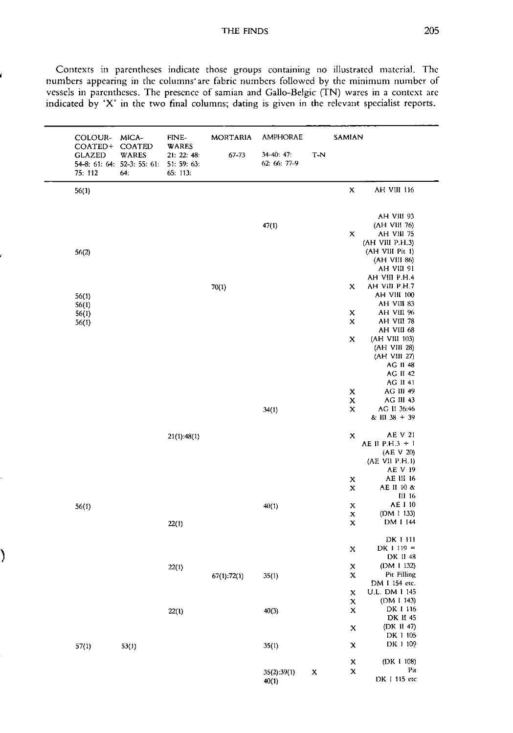#### THE FINDS 205

Contexts in parentheses indicate those groups containing no illustrated material. The numbers appearing in the columns' are fabric numbers followed by the minimum number of vessels in parentheses. The presence of samian and Gallo-Belgic (TN) wares in a context are indicated by 'X' in the two final columns; dating is given in the relevant specialist reports.

| COLOUR-<br>COATED+                                      | MICA-<br>COATED | FINE-<br><b>WARES</b>                  | <b>MORTARIA</b> | <b>AMPHORAE</b>            |             | SAMIAN                    |                           |
|---------------------------------------------------------|-----------------|----------------------------------------|-----------------|----------------------------|-------------|---------------------------|---------------------------|
| <b>GLAZED</b><br>54-8: 61: 64: 52-3: 55: 61:<br>75: 112 | WARES<br>64.    | 21: 22: 48:<br>51: 59: 63:<br>65: 113: | $67 - 73$       | 34-40: 47:<br>62: 66: 77-9 | T-N         |                           |                           |
| 56(1)                                                   |                 |                                        |                 |                            |             | $\mathbf x$               | AH VIII 116               |
|                                                         |                 |                                        |                 |                            |             |                           | AH VIII 93                |
|                                                         |                 |                                        |                 |                            |             |                           | (AH VIII 76)              |
|                                                         |                 |                                        |                 | 47(1)                      |             | х                         | AH VIII 75                |
|                                                         |                 |                                        |                 |                            |             |                           | (AH VIII P.H.3)           |
| 56(2)                                                   |                 |                                        |                 |                            |             |                           | (AH VIII Pit 1)           |
|                                                         |                 |                                        |                 |                            |             |                           | (AH VIII 86)              |
|                                                         |                 |                                        |                 |                            |             |                           | AH VIII 91                |
|                                                         |                 |                                        |                 |                            |             |                           | AH VIII P.H.4             |
|                                                         |                 |                                        | 70(1)           |                            |             | X                         | AH VIII P.H.7             |
| 56(1)                                                   |                 |                                        |                 |                            |             |                           | AH VIII 100               |
| 56(1)                                                   |                 |                                        |                 |                            |             |                           | AH VIII 83                |
| 56(1)                                                   |                 |                                        |                 |                            |             | X                         | AH VIII 96                |
| 56(1)                                                   |                 |                                        |                 |                            |             | X                         | AH VIII 78                |
|                                                         |                 |                                        |                 |                            |             |                           | AH VIII 68                |
|                                                         |                 |                                        |                 |                            |             | X                         | (AH VIII 103)             |
|                                                         |                 |                                        |                 |                            |             |                           | (AH VIII 28)              |
|                                                         |                 |                                        |                 |                            |             |                           | (AH VIII 27)              |
|                                                         |                 |                                        |                 |                            |             |                           | <b>AG II 48</b>           |
|                                                         |                 |                                        |                 |                            |             |                           | AG II 42<br>AG II 41      |
|                                                         |                 |                                        |                 |                            |             | $\mathbf x$               | AG III 49                 |
|                                                         |                 |                                        |                 |                            |             | $\mathbf x$               | AG III 43                 |
|                                                         |                 |                                        |                 | 34(1)                      |             | X                         | AG II 36:46               |
|                                                         |                 |                                        |                 |                            |             |                           | $& 1138 + 39$             |
|                                                         |                 | $21(1)$ :48(1)                         |                 |                            |             | X                         | AE V 21                   |
|                                                         |                 |                                        |                 |                            |             |                           | AE II P.H.3 + 1           |
|                                                         |                 |                                        |                 |                            |             |                           | (AE V 20)                 |
|                                                         |                 |                                        |                 |                            |             |                           | (AE VII P.H.1)            |
|                                                         |                 |                                        |                 |                            |             |                           | AE V 19                   |
|                                                         |                 |                                        |                 |                            |             | X                         | AE III 16<br>AE II 10 &   |
|                                                         |                 |                                        |                 |                            |             | $\mathbf x$               | III 16                    |
|                                                         |                 |                                        |                 | 40(1)                      |             | $\mathbf x$               | AE I 10                   |
| 56(1)                                                   |                 |                                        |                 |                            |             | X                         | (DM 1 133)                |
|                                                         |                 | 22(1)                                  |                 |                            |             | $\boldsymbol{\mathsf{x}}$ | DM I 144                  |
|                                                         |                 |                                        |                 |                            |             |                           | DK 1 111                  |
|                                                         |                 |                                        |                 |                            |             | $\boldsymbol{\mathsf{x}}$ | $DK 1 119 =$              |
|                                                         |                 |                                        |                 |                            |             |                           | DK II 48                  |
|                                                         |                 | 22(1)                                  |                 |                            |             | $\mathbf x$               | (DM I 132)<br>Pit Filling |
|                                                         |                 |                                        | 67(1):72(1)     | 35(1)                      |             | $\mathbf x$               | DM I 154 etc.             |
|                                                         |                 |                                        |                 |                            |             | Х                         | U.L. DM 1 145             |
|                                                         |                 |                                        |                 |                            |             | $\mathbf x$               | (DM I 143)                |
|                                                         |                 | 22(1)                                  |                 | 40(3)                      |             | $\mathbf x$               | DK I 116                  |
|                                                         |                 |                                        |                 |                            |             |                           | DK II 45                  |
|                                                         |                 |                                        |                 |                            |             | $\mathbf x$               | (DK II 47)                |
|                                                         |                 |                                        |                 |                            |             |                           | DK 1 105                  |
| 57(1)                                                   | 53(1)           |                                        |                 | 35(1)                      |             | $\boldsymbol{\mathsf{X}}$ | DK 1 109                  |
|                                                         |                 |                                        |                 |                            |             | $\pmb{\mathsf{x}}$        | (DK 1 108)                |
|                                                         |                 |                                        |                 | 35(2).39(1)                | $\mathbf x$ | $\mathbf x$               | Pit                       |
|                                                         |                 |                                        |                 | 40(1)                      |             |                           | DK I 115 etc              |

)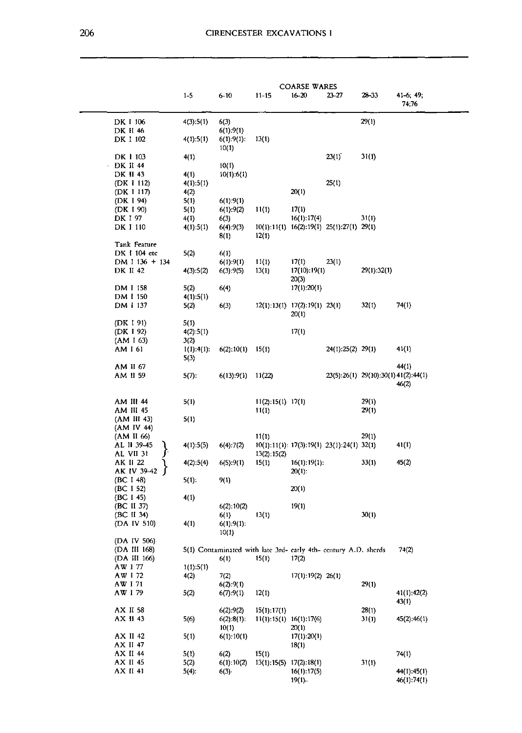|                          |                                             |                    |                                                                         |                                            | <b>COARSE WARES</b>                               |                   |                                      |                            |
|--------------------------|---------------------------------------------|--------------------|-------------------------------------------------------------------------|--------------------------------------------|---------------------------------------------------|-------------------|--------------------------------------|----------------------------|
|                          |                                             | $1 - 5$            | $6 - 10$                                                                | $11 - 15$                                  | $16 - 20$                                         | $23 - 27$         | 23-33                                | $41-6$ ; $49$ ;<br>74;76   |
| DK I 106                 |                                             | 4(3):5(1)          | 6(3)                                                                    |                                            |                                                   |                   | 29(1)                                |                            |
| DK II 46<br>DK I 102     |                                             | 4(1):5(1)          | 6(1):9(1)<br>6(1):9(1):                                                 | 13(1)                                      |                                                   |                   |                                      |                            |
| DK 1 103                 |                                             | 4(1)               | 10(1)                                                                   |                                            |                                                   | 23(1)             | 31(1)                                |                            |
| DK II 44                 |                                             |                    | 10(1)                                                                   |                                            |                                                   |                   |                                      |                            |
| DK II 43                 | (DK 1 112)                                  | 4(1)<br>4(1):5(1)  | 10(1).6(1)                                                              |                                            |                                                   | 25(1)             |                                      |                            |
|                          | (DK 1 117)                                  | 4(2)               |                                                                         |                                            | 20(1)                                             |                   |                                      |                            |
| (DK I 94)<br>(DK I 90)   |                                             | 5(1)<br>5(1)       | $6(1)$ :9(1)<br>6(1):9(2)                                               | 11(1)                                      | 17(1)                                             |                   |                                      |                            |
| DK 197                   |                                             | 4(1)               | 6(3)                                                                    |                                            | 16(1):17(4)                                       |                   | 31(1)                                |                            |
| DK I 110                 |                                             | 4(1):5(1)          | 6(4):9(3)<br>8(1)                                                       | 12(1)                                      | $10(1):11(1)$ $16(2):19(1)$ $25(1):27(1)$ $29(1)$ |                   |                                      |                            |
|                          | Tank Feature<br>DK 1 104 etc                | 5(2)               | 6(1)                                                                    |                                            |                                                   |                   |                                      |                            |
|                          | DM I $136 + 134$                            |                    | 6(1):9(1)                                                               | 11(1)                                      | 17(1)                                             | 23(1)             |                                      |                            |
| DK II 42                 |                                             | 4(3):5(2)          | 6(3):9(5)                                                               | 13(1)                                      | 17(10):19(1)<br>20(3)                             |                   | 29(1):32(1)                          |                            |
| DM I 158<br>DM 1 150     |                                             | 5(2)<br>4(1):5(1)  | 6(4)                                                                    |                                            | 17(1):20(1)                                       |                   |                                      |                            |
| DM I 137                 |                                             | 5(2)               | 6(3)                                                                    |                                            | $12(1):13(1)$ $17(2):19(1)$ $23(1)$<br>20(1)      |                   | 32(1)                                | 74(1)                      |
| (DK 1 91)                |                                             | 5(1)               |                                                                         |                                            |                                                   |                   |                                      |                            |
| (DK 1 92)<br>(AM I 63)   |                                             | 4(2):5(1)<br>3(2)  |                                                                         |                                            | 17(1)                                             |                   |                                      |                            |
| AM I 61                  |                                             | 1(1):4(1):<br>5(3) | 6(2):10(1)                                                              | 15(1)                                      |                                                   | 24(1).25(2) 29(1) |                                      | 41(1)                      |
| AM II 67                 |                                             |                    |                                                                         |                                            |                                                   |                   |                                      | 44(1)                      |
| AM II 59                 |                                             | 5(7)               | 6(13):9(1)                                                              | 11(22)                                     |                                                   |                   | 23(5):26(1) 29(10):30(1) 41(2):44(1) | 46(2)                      |
| <b>AM III 44</b>         |                                             | 5(1)               |                                                                         | $11(2):15(1)$ 17(1)                        |                                                   |                   | 29(1)                                |                            |
| AM III 45                | (AM III 43)                                 | 5(1)               |                                                                         | 11(1)                                      |                                                   |                   | 29(1)                                |                            |
|                          | (AM IV 44)<br>(AM II 66)                    |                    |                                                                         | 11(1)                                      |                                                   |                   | 29(1)                                |                            |
| AL VII 31                | AL II 39-45                                 | 4(1):5(5)          | 6(4):7(2)                                                               | 13(2):15(2)                                | 10(1):11(1): 17(3):19(1) 23(1):24(1) 32(1)        |                   |                                      | 41(1)                      |
| AK II 22                 | AK IV 39-42 ∫                               | 4(2):5(4)          | 6(5):9(1)                                                               | 15(1)                                      | 16(1):19(1):<br>$20(1)$ :                         |                   | 33(1)                                | 45(2)                      |
| (BC I 48)<br>(BC I 52)   |                                             | $5(1)$ :           | 9(1)                                                                    |                                            | 20(1)                                             |                   |                                      |                            |
| (BC I 45)                |                                             | 4(1)               |                                                                         |                                            |                                                   |                   |                                      |                            |
| (BC II 37)<br>(BC II 34) |                                             |                    | 6(2).10(2)<br>6(1)                                                      | 13(1)                                      | 19(1)                                             |                   | 30(1)                                |                            |
|                          | (DA IV 510)                                 | 4(1)               | 6(1):9(1):<br>10(1)                                                     |                                            |                                                   |                   |                                      |                            |
|                          | (DA IV 506)<br>(DA III 168)<br>(DA III 166) |                    | 5(1) Contaminated with late 3rd- early 4th- century A.D. sherds<br>6(1) | 15(1)                                      | 17(2)                                             |                   |                                      | 74(2)                      |
| AW 177<br>AW 172         |                                             | 1(1):5(1)          |                                                                         |                                            | $17(1):19(2)$ 26(1)                               |                   |                                      |                            |
| AW 171                   |                                             | 4(2)               | 7(2)<br>$6(2)$ :9(1)                                                    |                                            |                                                   |                   | 29(1)                                |                            |
| AW 179                   |                                             | 5(2)               | 6(7):9(1)                                                               | 12(1)                                      |                                                   |                   |                                      | 41(1):42(2)<br>43(1)       |
| AX II 58<br>AX II 43     |                                             | 5(6)               | 6(2):9(2)<br>6(2):8(1):                                                 | 15(1):17(1)<br>$11(1):15(1)$ $16(1):17(6)$ |                                                   |                   | 28(1)<br>31(1)                       | 45(2):46(1)                |
| AX II 42                 |                                             | 5(1)               | 10(1)<br>6(1):10(1)                                                     |                                            | 20(1)<br>17(1):20(1)                              |                   |                                      |                            |
| AX II 47<br>AX II 44     |                                             | 5(1)               | 6(2)                                                                    | 15(1)                                      | 18(1)                                             |                   |                                      | 74(1)                      |
| AX II 45                 |                                             | 5(2)               | 6(1):10(2)                                                              | 13(1):15(5) 17(2):18(1)                    |                                                   |                   | 31(1)                                |                            |
| AX II 41                 |                                             | $5(4)$ .           | 6(3)                                                                    |                                            | 16(1):17(5)<br>19(1).                             |                   |                                      | 44(1).45(1)<br>46(1):74(1) |
|                          |                                             |                    |                                                                         |                                            |                                                   |                   |                                      |                            |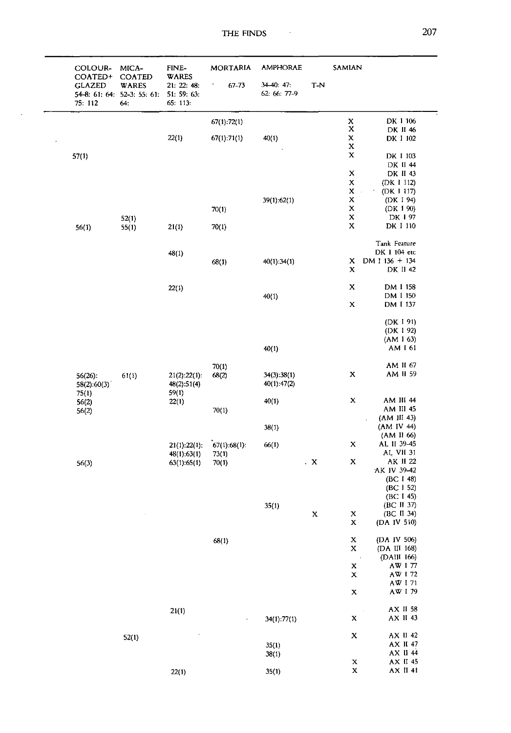| COLOUR-<br>COATED+       | MICA-<br><b>COATED</b>                      | FINE-<br><b>WARES</b>                  | <b>MORTARIA</b><br>$67 - 73$ | <b>AMPHORAE</b><br>$34-40:47:$ | T-N           | SAMIAN                            |                                     |
|--------------------------|---------------------------------------------|----------------------------------------|------------------------------|--------------------------------|---------------|-----------------------------------|-------------------------------------|
| <b>GLAZED</b><br>75: 112 | WARES<br>54-8: 61: 64: 52-3: 55: 61:<br>64: | 21: 22: 48:<br>51: 59: 63:<br>65: 113: |                              | 62: 66: 77-9                   |               |                                   |                                     |
|                          |                                             |                                        | 67(1):72(1)                  |                                |               | $_{\rm x}^{\rm x}$                | DK 1 106                            |
|                          |                                             |                                        |                              |                                |               |                                   | DK II 46                            |
|                          |                                             | 22(1)                                  | 67(1):71(1)                  | 40(1)                          |               | $\pmb{\mathsf{x}}$<br>$\mathbf x$ | DK 1 102                            |
| 57(1)                    |                                             |                                        |                              |                                |               | $\mathbf x$                       | DK 1 103                            |
|                          |                                             |                                        |                              |                                |               |                                   | DK II 44                            |
|                          |                                             |                                        |                              |                                |               | $\mathbf x$                       | DK II 43                            |
|                          |                                             |                                        |                              |                                |               | $\pmb{\mathsf{X}}$                | (DK I 112)                          |
|                          |                                             |                                        |                              |                                |               | $\mathbf x$<br>$\sim$             | $\boldsymbol{\gamma}$<br>(DK I 117) |
|                          |                                             |                                        |                              | 39(1):62(1)                    |               | $\mathbf x$                       | (DK I 94)                           |
|                          |                                             |                                        | 70(1)                        |                                |               | $\mathbf x$                       | (DK 1 90)                           |
|                          | 52(1)                                       |                                        |                              |                                |               | $\mathbf x$                       | DK 197                              |
| 56(1)                    | 55(1)                                       | 21(1)                                  | 70(1)                        |                                |               | $\mathbf x$                       | DK I 110                            |
|                          |                                             |                                        |                              |                                |               |                                   | Tank Feature                        |
|                          |                                             | 48(1)                                  |                              |                                |               | $\mathbf x$                       | DK 1 104 etc<br>DM 1 136 + 134      |
|                          |                                             |                                        | 68(1)                        | 40(1):34(1)                    |               | $\mathbf x$                       | DK II 42                            |
|                          |                                             | 22(1)                                  |                              |                                |               | $\mathbf x$                       | DM 1 158                            |
|                          |                                             |                                        |                              | 40(1)                          |               |                                   | DM I 150                            |
|                          |                                             |                                        |                              |                                |               | $\mathbf x$                       | DM I 137                            |
|                          |                                             |                                        |                              |                                |               |                                   | (DK 191)                            |
|                          |                                             |                                        |                              |                                |               |                                   | (DK 1 92)                           |
|                          |                                             |                                        |                              |                                |               |                                   | (AM 1 63)                           |
|                          |                                             |                                        |                              | 40(1)                          |               |                                   | AM I 61                             |
|                          |                                             |                                        | 70(1)                        |                                |               |                                   | AM II 67                            |
| $56(26)$ :               | 61(1)                                       | 21(2):22(1):                           | 68(2)                        | 34(3):38(1)                    |               | $\mathbf x$                       | AM II 59                            |
| 58(2):60(3)              |                                             | 48(2):51(4)                            |                              | 40(1):47(2)                    |               |                                   |                                     |
| 75(1)                    |                                             | 59(1)                                  |                              | 40(1)                          |               | $\mathbf x$                       | AM III 44                           |
| 56(2)                    |                                             | 22(1)                                  | 70(1)                        |                                |               |                                   | AM III 45                           |
| 56(2)                    |                                             |                                        |                              |                                |               |                                   | (AM III 43)                         |
|                          |                                             |                                        |                              | 38(1)                          |               |                                   | (AM IV 44)                          |
|                          |                                             |                                        |                              |                                |               |                                   | (AM II 66)                          |
|                          |                                             | 21(1):22(1):                           | 67(1):68(1):                 | 66(1)                          |               | $\mathbf x$                       | AL II 39-45                         |
|                          |                                             | 48(1):63(1)                            | 73(1)                        |                                |               |                                   | AL VII 31                           |
| 56(3)                    |                                             | 63(1):65(1)                            | 70(1)                        |                                | . $\mathbf x$ | $\mathbf X$                       | AK II 22                            |
|                          |                                             |                                        |                              |                                |               |                                   | AK IV 39-42                         |
|                          |                                             |                                        |                              |                                |               |                                   | (BC I 48)                           |
|                          |                                             |                                        |                              |                                |               |                                   | (BC I 52)                           |
|                          |                                             |                                        |                              |                                |               |                                   | (BC I 45)                           |
|                          |                                             |                                        |                              | 35(1)                          |               |                                   | (BC II 37)                          |
|                          |                                             |                                        |                              |                                | $\mathbf x$   | $\mathbf x$<br>$\bf X$            | (BC II 34)<br>(DA IV 510)           |
|                          |                                             |                                        | 68(1)                        |                                |               | $\mathbf x$                       | (DA IV 506)                         |
|                          |                                             |                                        |                              |                                |               | $\mathbf x$                       | (DA III 168)                        |
|                          |                                             |                                        |                              |                                |               | $\cdot$                           | (DAII 166)                          |
|                          |                                             |                                        |                              |                                |               | $\mathbf x$                       | AW 177                              |
|                          |                                             |                                        |                              |                                |               | $\mathbf x$                       | AW I 72                             |
|                          |                                             |                                        |                              |                                |               |                                   | AW 171                              |
|                          |                                             |                                        |                              |                                |               | $\mathbf x$                       | AW 179                              |
|                          |                                             | 21(1)                                  |                              |                                |               |                                   | AX II 58                            |
|                          |                                             |                                        | $\cdot$                      | 34(1):77(1)                    |               | X                                 | AX II 43                            |
|                          |                                             |                                        |                              |                                |               |                                   |                                     |
|                          |                                             |                                        |                              |                                |               | $\mathbf x$                       |                                     |
|                          | 52(1)                                       |                                        |                              | 35(1)                          |               |                                   |                                     |
|                          |                                             |                                        |                              | 38(1)                          |               |                                   | AX II 42<br>AX II 47<br>AX II 44    |
|                          |                                             | 22(1)                                  |                              | 35(1)                          |               | X<br>$\mathbf x$                  | AX II 45<br>AX II 41                |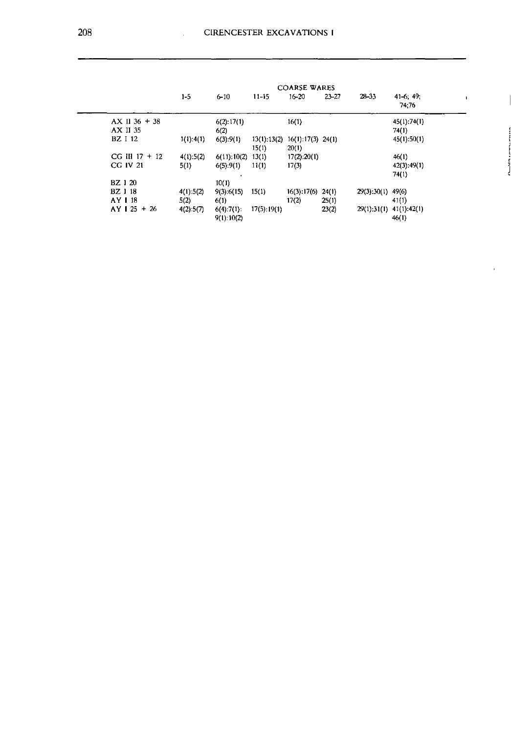|                  | <b>COARSE WARES</b> |                    |                          |                              |           |                     |                         |  |
|------------------|---------------------|--------------------|--------------------------|------------------------------|-----------|---------------------|-------------------------|--|
|                  | $1 - 5$             | $6 - 10$           | $11-15$                  | $16 - 20$                    | $23 - 27$ | $28 - 33$           | $41-6, 49;$<br>74:76    |  |
| $AX II 36 + 38$  |                     | $6(2)$ : 17(1)     |                          | 16(1)                        |           |                     | 45(1):74(1)             |  |
| AX II 35         |                     | 6(2)               |                          |                              |           |                     | 74(1)                   |  |
| <b>BZ</b> I 12   | 1(1):4(1)           | $6(3)$ :9(1)       | $13(1)$ $13(2)$<br>15(1) | $16(1):17(3)$ 24(1)<br>20(1) |           |                     | 45(1):50(1)             |  |
| $CG III 17 + 12$ | 4(1):5(2)           | 6(11):10(2)        | 13(1)                    | 17(2):20(1)                  |           |                     | 46(1)                   |  |
| CG IV 21         | 5(1)                | 6(5).9(1)          | 11(1)                    | 17(3)                        |           |                     | 42(3):49(1)             |  |
|                  |                     |                    |                          |                              |           |                     | 74(1)                   |  |
| <b>BZ</b> 1 20   |                     | 10(1)              |                          |                              |           |                     |                         |  |
| <b>BZ</b> 1 18   | 4(1):5(2)           | $9(3) \cdot 6(15)$ | 15(1)                    | 16(3):17(6)                  | 24(1)     | $29(3):30(1)$ 49(6) |                         |  |
| AY 118           | 5(2)                | 6(1)               |                          | 17(2)                        | 25(1)     |                     | 41(1)                   |  |
| $AY$   25 + 26   | 4(2):5(7)           | 6(4):7(1):         | 17(5):19(1)              |                              | 23(2)     |                     | 29(1):31(1) 41(1):42(1) |  |
|                  |                     | 9(1) 10(2)         |                          |                              |           |                     | 46(1)                   |  |

 $\ddot{\phantom{0}}$ 

J

 $\ddot{\phantom{0}}$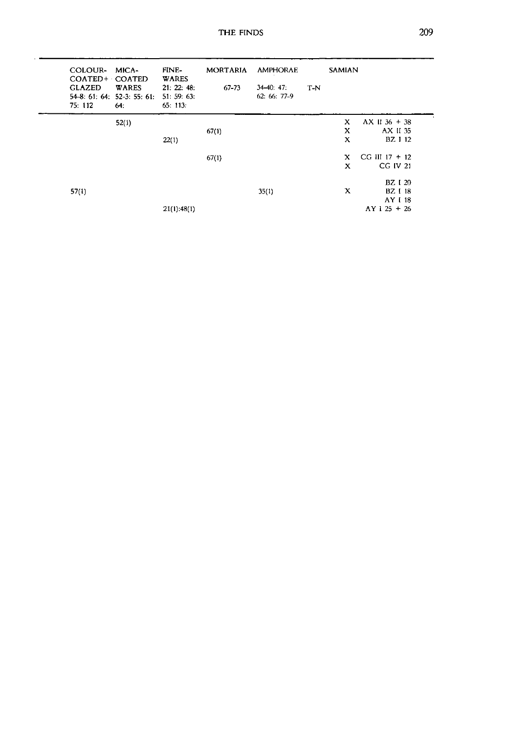| COLOUR- MICA-<br>COATED+ COATED<br><b>GLAZED</b><br>75: 112 | <b>WARES</b><br>$54-8: 61: 64: 52-3: 55: 61:$<br>64: | FINE-<br><b>WARES</b><br>21: 22: 48:<br>51:59:63:<br>65: 113: | <b>MORTARIA</b><br>$67 - 73$ | <b>AMPHORAE</b><br>$34-40.47$<br>$62:66:77-9$ | T-N | <b>SAMIAN</b> |                  |  |
|-------------------------------------------------------------|------------------------------------------------------|---------------------------------------------------------------|------------------------------|-----------------------------------------------|-----|---------------|------------------|--|
|                                                             | 52(1)                                                |                                                               |                              |                                               |     | x             | $AX II 36 + 38$  |  |
|                                                             |                                                      |                                                               | 67(1)                        |                                               |     | X             | AX II 35         |  |
|                                                             |                                                      | 22(1)                                                         |                              |                                               |     | X             | BZ I 12          |  |
|                                                             |                                                      |                                                               | 67(1)                        |                                               |     | $\mathbf{x}$  | $CG III 17 + 12$ |  |
|                                                             |                                                      |                                                               |                              |                                               |     | X             | CG IV 21         |  |
|                                                             |                                                      |                                                               |                              |                                               |     |               | <b>BZ</b> I 20   |  |
| 57(1)                                                       |                                                      |                                                               |                              | 35(1)                                         |     | X             | <b>BZ</b> I 18   |  |
|                                                             |                                                      |                                                               |                              |                                               |     |               | AY 118           |  |
|                                                             |                                                      | $21(1)$ : 48(1)                                               |                              |                                               |     |               | $AY$ 1 25 + 26   |  |